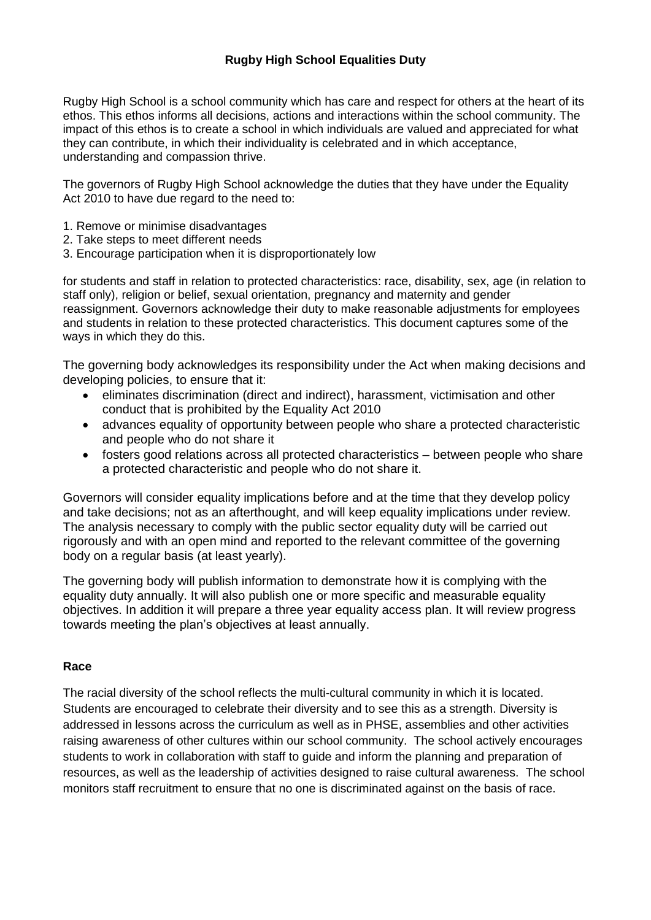### **Rugby High School Equalities Duty**

Rugby High School is a school community which has care and respect for others at the heart of its ethos. This ethos informs all decisions, actions and interactions within the school community. The impact of this ethos is to create a school in which individuals are valued and appreciated for what they can contribute, in which their individuality is celebrated and in which acceptance, understanding and compassion thrive.

The governors of Rugby High School acknowledge the duties that they have under the Equality Act 2010 to have due regard to the need to:

- 1. Remove or minimise disadvantages
- 2. Take steps to meet different needs
- 3. Encourage participation when it is disproportionately low

for students and staff in relation to protected characteristics: race, disability, sex, age (in relation to staff only), religion or belief, sexual orientation, pregnancy and maternity and gender reassignment. Governors acknowledge their duty to make reasonable adjustments for employees and students in relation to these protected characteristics. This document captures some of the ways in which they do this.

The governing body acknowledges its responsibility under the Act when making decisions and developing policies, to ensure that it:

- eliminates discrimination (direct and indirect), harassment, victimisation and other conduct that is prohibited by the Equality Act 2010
- advances equality of opportunity between people who share a protected characteristic and people who do not share it
- fosters good relations across all protected characteristics between people who share a protected characteristic and people who do not share it.

Governors will consider equality implications before and at the time that they develop policy and take decisions; not as an afterthought, and will keep equality implications under review. The analysis necessary to comply with the public sector equality duty will be carried out rigorously and with an open mind and reported to the relevant committee of the governing body on a regular basis (at least yearly).

The governing body will publish information to demonstrate how it is complying with the equality duty annually. It will also publish one or more specific and measurable equality objectives. In addition it will prepare a three year equality access plan. It will review progress towards meeting the plan's objectives at least annually.

#### **Race**

The racial diversity of the school reflects the multi-cultural community in which it is located. Students are encouraged to celebrate their diversity and to see this as a strength. Diversity is addressed in lessons across the curriculum as well as in PHSE, assemblies and other activities raising awareness of other cultures within our school community. The school actively encourages students to work in collaboration with staff to guide and inform the planning and preparation of resources, as well as the leadership of activities designed to raise cultural awareness. The school monitors staff recruitment to ensure that no one is discriminated against on the basis of race.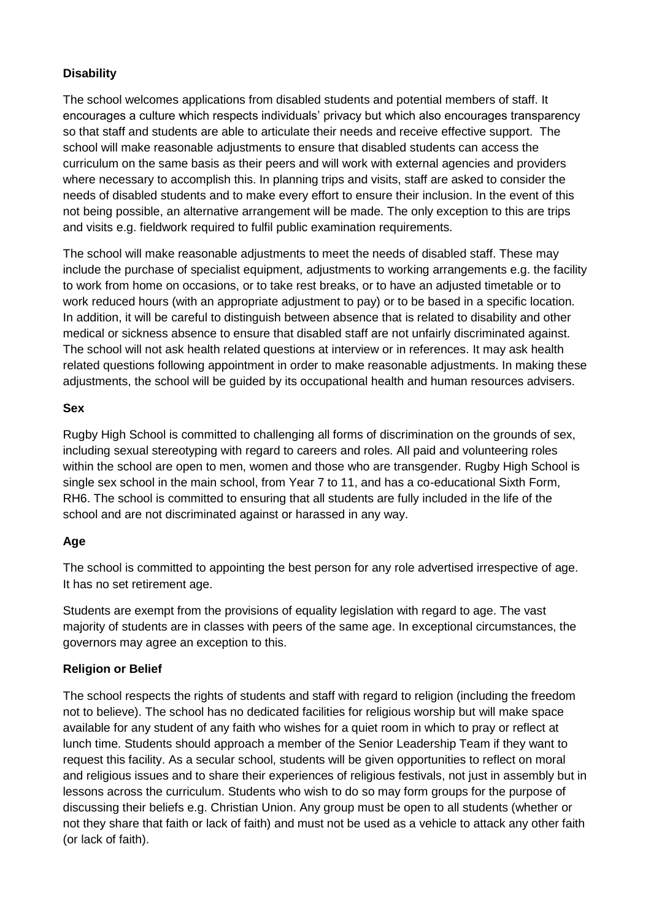### **Disability**

The school welcomes applications from disabled students and potential members of staff. It encourages a culture which respects individuals' privacy but which also encourages transparency so that staff and students are able to articulate their needs and receive effective support. The school will make reasonable adjustments to ensure that disabled students can access the curriculum on the same basis as their peers and will work with external agencies and providers where necessary to accomplish this. In planning trips and visits, staff are asked to consider the needs of disabled students and to make every effort to ensure their inclusion. In the event of this not being possible, an alternative arrangement will be made. The only exception to this are trips and visits e.g. fieldwork required to fulfil public examination requirements.

The school will make reasonable adjustments to meet the needs of disabled staff. These may include the purchase of specialist equipment, adjustments to working arrangements e.g. the facility to work from home on occasions, or to take rest breaks, or to have an adjusted timetable or to work reduced hours (with an appropriate adjustment to pay) or to be based in a specific location. In addition, it will be careful to distinguish between absence that is related to disability and other medical or sickness absence to ensure that disabled staff are not unfairly discriminated against. The school will not ask health related questions at interview or in references. It may ask health related questions following appointment in order to make reasonable adjustments. In making these adjustments, the school will be guided by its occupational health and human resources advisers.

#### **Sex**

Rugby High School is committed to challenging all forms of discrimination on the grounds of sex, including sexual stereotyping with regard to careers and roles. All paid and volunteering roles within the school are open to men, women and those who are transgender. Rugby High School is single sex school in the main school, from Year 7 to 11, and has a co-educational Sixth Form, RH6. The school is committed to ensuring that all students are fully included in the life of the school and are not discriminated against or harassed in any way.

### **Age**

The school is committed to appointing the best person for any role advertised irrespective of age. It has no set retirement age.

Students are exempt from the provisions of equality legislation with regard to age. The vast majority of students are in classes with peers of the same age. In exceptional circumstances, the governors may agree an exception to this.

# **Religion or Belief**

The school respects the rights of students and staff with regard to religion (including the freedom not to believe). The school has no dedicated facilities for religious worship but will make space available for any student of any faith who wishes for a quiet room in which to pray or reflect at lunch time. Students should approach a member of the Senior Leadership Team if they want to request this facility. As a secular school, students will be given opportunities to reflect on moral and religious issues and to share their experiences of religious festivals, not just in assembly but in lessons across the curriculum. Students who wish to do so may form groups for the purpose of discussing their beliefs e.g. Christian Union. Any group must be open to all students (whether or not they share that faith or lack of faith) and must not be used as a vehicle to attack any other faith (or lack of faith).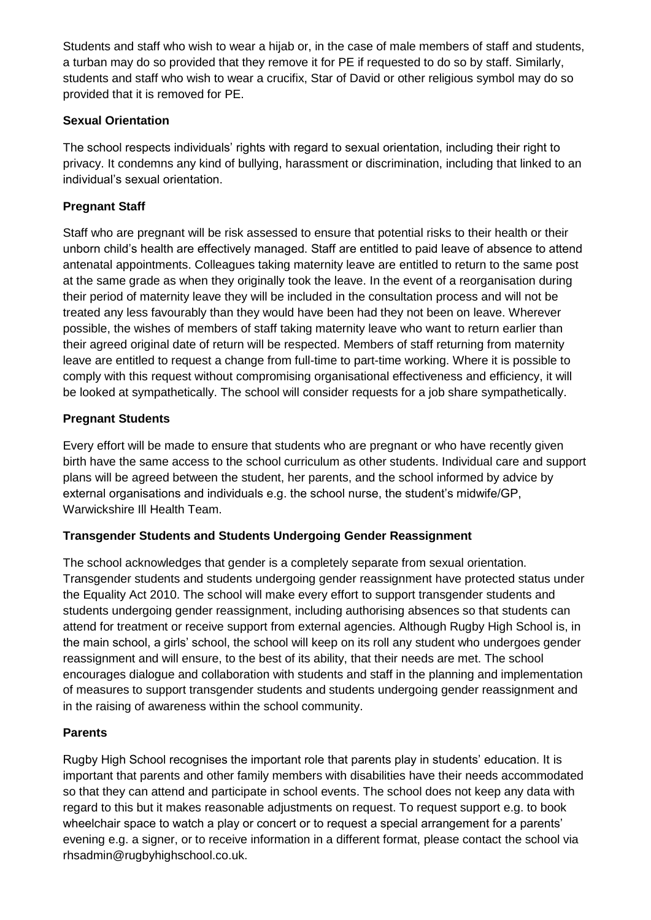Students and staff who wish to wear a hijab or, in the case of male members of staff and students, a turban may do so provided that they remove it for PE if requested to do so by staff. Similarly, students and staff who wish to wear a crucifix, Star of David or other religious symbol may do so provided that it is removed for PE.

### **Sexual Orientation**

The school respects individuals' rights with regard to sexual orientation, including their right to privacy. It condemns any kind of bullying, harassment or discrimination, including that linked to an individual's sexual orientation.

# **Pregnant Staff**

Staff who are pregnant will be risk assessed to ensure that potential risks to their health or their unborn child's health are effectively managed. Staff are entitled to paid leave of absence to attend antenatal appointments. Colleagues taking maternity leave are entitled to return to the same post at the same grade as when they originally took the leave. In the event of a reorganisation during their period of maternity leave they will be included in the consultation process and will not be treated any less favourably than they would have been had they not been on leave. Wherever possible, the wishes of members of staff taking maternity leave who want to return earlier than their agreed original date of return will be respected. Members of staff returning from maternity leave are entitled to request a change from full-time to part-time working. Where it is possible to comply with this request without compromising organisational effectiveness and efficiency, it will be looked at sympathetically. The school will consider requests for a job share sympathetically.

## **Pregnant Students**

Every effort will be made to ensure that students who are pregnant or who have recently given birth have the same access to the school curriculum as other students. Individual care and support plans will be agreed between the student, her parents, and the school informed by advice by external organisations and individuals e.g. the school nurse, the student's midwife/GP, Warwickshire Ill Health Team.

### **Transgender Students and Students Undergoing Gender Reassignment**

The school acknowledges that gender is a completely separate from sexual orientation. Transgender students and students undergoing gender reassignment have protected status under the Equality Act 2010. The school will make every effort to support transgender students and students undergoing gender reassignment, including authorising absences so that students can attend for treatment or receive support from external agencies. Although Rugby High School is, in the main school, a girls' school, the school will keep on its roll any student who undergoes gender reassignment and will ensure, to the best of its ability, that their needs are met. The school encourages dialogue and collaboration with students and staff in the planning and implementation of measures to support transgender students and students undergoing gender reassignment and in the raising of awareness within the school community.

### **Parents**

Rugby High School recognises the important role that parents play in students' education. It is important that parents and other family members with disabilities have their needs accommodated so that they can attend and participate in school events. The school does not keep any data with regard to this but it makes reasonable adjustments on request. To request support e.g. to book wheelchair space to watch a play or concert or to request a special arrangement for a parents' evening e.g. a signer, or to receive information in a different format, please contact the school via rhsadmin@rugbyhighschool.co.uk.